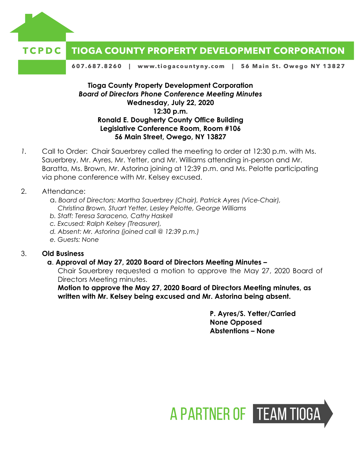

#### **TIOGA COUNTY PROPERTY DEVELOPMENT CORPORATION** TCPDC

607.687.8260 | www.tiogacountyny.com | 56 Main St. Owego NY 13827

#### **Tioga County Property Development Corporation** *Board of Directors Phone Conference Meeting Minutes*  **Wednesday, July 22, 2020 12:30 p.m. Ronald E. Dougherty County Office Building Legislative Conference Room, Room #106 56 Main Street, Owego, NY 13827**

*1.* Call to Order: Chair Sauerbrey called the meeting to order at 12:30 p.m. with Ms. Sauerbrey, Mr. Ayres, Mr. Yetter, and Mr. Williams attending in-person and Mr. Baratta, Ms. Brown, Mr. Astorina joining at 12:39 p.m. and Ms. Pelotte participating via phone conference with Mr. Kelsey excused.

#### 2. Attendance:

- a. *Board of Directors: Martha Sauerbrey (Chair), Patrick Ayres (Vice-Chair), Christina Brown, Stuart Yetter, Lesley Pelotte, George Williams*
- *b. Staff: Teresa Saraceno, Cathy Haskell*
- *c. Excused: Ralph Kelsey (Treasurer),*
- *d. Absent: Mr. Astorina (joined call @ 12:39 p.m.)*
- *e. Guests: None*

#### 3. **Old Business**

#### **a**. **Approval of May 27, 2020 Board of Directors Meeting Minutes –**

Chair Sauerbrey requested a motion to approve the May 27, 2020 Board of Directors Meeting minutes.

**Motion to approve the May 27, 2020 Board of Directors Meeting minutes, as written with Mr. Kelsey being excused and Mr. Astorina being absent.** 

> **P. Ayres/S. Yetter/Carried None Opposed Abstentions – None**

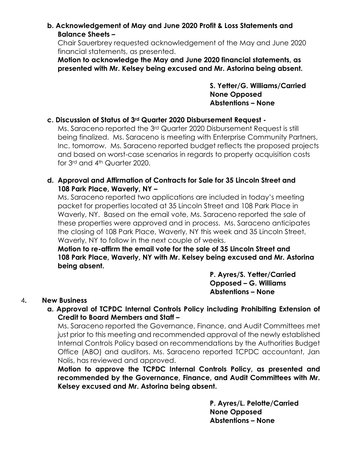# **b. Acknowledgement of May and June 2020 Profit & Loss Statements and Balance Sheets –**

Chair Sauerbrey requested acknowledgement of the May and June 2020 financial statements, as presented.

**Motion to acknowledge the May and June 2020 financial statements, as presented with Mr. Kelsey being excused and Mr. Astorina being absent.** 

> **S. Yetter/G. Williams/Carried None Opposed Abstentions – None**

# **c. Discussion of Status of 3rd Quarter 2020 Disbursement Request -**

Ms. Saraceno reported the 3rd Quarter 2020 Disbursement Request is still being finalized. Ms. Saraceno is meeting with Enterprise Community Partners, Inc. tomorrow. Ms. Saraceno reported budget reflects the proposed projects and based on worst-case scenarios in regards to property acquisition costs for 3rd and 4th Quarter 2020.

#### **d. Approval and Affirmation of Contracts for Sale for 35 Lincoln Street and 108 Park Place, Waverly, NY –**

Ms. Saraceno reported two applications are included in today's meeting packet for properties located at 35 Lincoln Street and 108 Park Place in Waverly, NY. Based on the email vote, Ms. Saraceno reported the sale of these properties were approved and in process. Ms. Saraceno anticipates the closing of 108 Park Place, Waverly, NY this week and 35 Lincoln Street, Waverly, NY to follow in the next couple of weeks.

**Motion to re-affirm the email vote for the sale of 35 Lincoln Street and 108 Park Place, Waverly, NY with Mr. Kelsey being excused and Mr. Astorina being absent.** 

> **P. Ayres/S. Yetter/Carried Opposed – G. Williams Abstentions – None**

## 4**. New Business**

## **a. Approval of TCPDC Internal Controls Policy including Prohibiting Extension of Credit to Board Members and Staff –**

Ms. Saraceno reported the Governance, Finance, and Audit Committees met just prior to this meeting and recommended approval of the newly established Internal Controls Policy based on recommendations by the Authorities Budget Office (ABO) and auditors. Ms. Saraceno reported TCPDC accountant, Jan Nolis, has reviewed and approved.

**Motion to approve the TCPDC Internal Controls Policy, as presented and recommended by the Governance, Finance, and Audit Committees with Mr. Kelsey excused and Mr. Astorina being absent.** 

> **P. Ayres/L. Pelotte/Carried None Opposed Abstentions – None**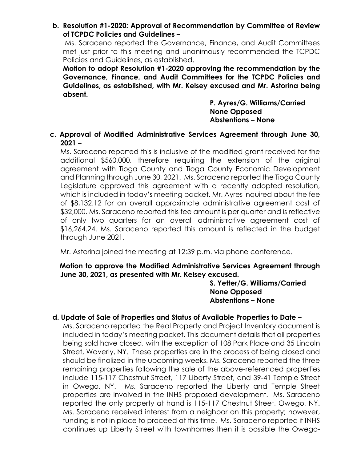**b. Resolution #1-2020: Approval of Recommendation by Committee of Review of TCPDC Policies and Guidelines –**

Ms. Saraceno reported the Governance, Finance, and Audit Committees met just prior to this meeting and unanimously recommended the TCPDC Policies and Guidelines, as established.

**Motion to adopt Resolution #1-2020 approving the recommendation by the Governance, Finance, and Audit Committees for the TCPDC Policies and Guidelines, as established, with Mr. Kelsey excused and Mr. Astorina being absent.** 

> **P. Ayres/G. Williams/Carried None Opposed Abstentions – None**

**c. Approval of Modified Administrative Services Agreement through June 30, 2021 –**

Ms. Saraceno reported this is inclusive of the modified grant received for the additional \$560,000, therefore requiring the extension of the original agreement with Tioga County and Tioga County Economic Development and Planning through June 30, 2021. Ms. Saraceno reported the Tioga County Legislature approved this agreement with a recently adopted resolution, which is included in today's meeting packet. Mr. Ayres inquired about the fee of \$8,132.12 for an overall approximate administrative agreement cost of \$32,000. Ms. Saraceno reported this fee amount is per quarter and is reflective of only two quarters for an overall administrative agreement cost of \$16,264.24. Ms. Saraceno reported this amount is reflected in the budget through June 2021.

Mr. Astorina joined the meeting at 12:39 p.m. via phone conference.

**Motion to approve the Modified Administrative Services Agreement through June 30, 2021, as presented with Mr. Kelsey excused.** 

> **S. Yetter/G. Williams/Carried None Opposed Abstentions – None**

## **d. Update of Sale of Properties and Status of Available Properties to Date –**

Ms. Saraceno reported the Real Property and Project Inventory document is included in today's meeting packet. This document details that all properties being sold have closed, with the exception of 108 Park Place and 35 Lincoln Street, Waverly, NY. These properties are in the process of being closed and should be finalized in the upcoming weeks. Ms. Saraceno reported the three remaining properties following the sale of the above-referenced properties include 115-117 Chestnut Street, 117 Liberty Street, and 39-41 Temple Street in Owego, NY. Ms. Saraceno reported the Liberty and Temple Street properties are involved in the INHS proposed development. Ms. Saraceno reported the only property at hand is 115-117 Chestnut Street, Owego, NY. Ms. Saraceno received interest from a neighbor on this property; however, funding is not in place to proceed at this time. Ms. Saraceno reported if INHS continues up Liberty Street with townhomes then it is possible the Owego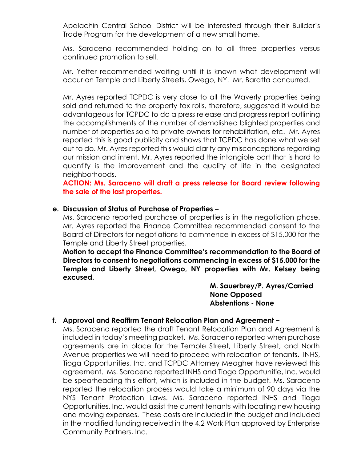Apalachin Central School District will be interested through their Builder's Trade Program for the development of a new small home.

Ms. Saraceno recommended holding on to all three properties versus continued promotion to sell.

Mr. Yetter recommended waiting until it is known what development will occur on Temple and Liberty Streets, Owego, NY. Mr. Baratta concurred.

Mr. Ayres reported TCPDC is very close to all the Waverly properties being sold and returned to the property tax rolls, therefore, suggested it would be advantageous for TCPDC to do a press release and progress report outlining the accomplishments of the number of demolished blighted properties and number of properties sold to private owners for rehabilitation, etc. Mr. Ayres reported this is good publicity and shows that TCPDC has done what we set out to do. Mr. Ayres reported this would clarify any misconceptions regarding our mission and intent. Mr. Ayres reported the intangible part that is hard to quantify is the improvement and the quality of life in the designated neighborhoods.

**ACTION: Ms. Saraceno will draft a press release for Board review following the sale of the last properties.** 

#### **e. Discussion of Status of Purchase of Properties –**

Ms. Saraceno reported purchase of properties is in the negotiation phase. Mr. Ayres reported the Finance Committee recommended consent to the Board of Directors for negotiations to commence in excess of \$15,000 for the Temple and Liberty Street properties.

**Motion to accept the Finance Committee's recommendation to the Board of Directors to consent to negotiations commencing in excess of \$15,000 for the Temple and Liberty Street, Owego, NY properties with Mr. Kelsey being excused.** 

> **M. Sauerbrey/P. Ayres/Carried None Opposed Abstentions - None**

## **f. Approval and Reaffirm Tenant Relocation Plan and Agreement –**

Ms. Saraceno reported the draft Tenant Relocation Plan and Agreement is included in today's meeting packet. Ms. Saraceno reported when purchase agreements are in place for the Temple Street, Liberty Street, and North Avenue properties we will need to proceed with relocation of tenants. INHS, Tioga Opportunities, Inc. and TCPDC Attorney Meagher have reviewed this agreement. Ms. Saraceno reported INHS and Tioga Opportunitie, Inc. would be spearheading this effort, which is included in the budget. Ms. Saraceno reported the relocation process would take a minimum of 90 days via the NYS Tenant Protection Laws. Ms. Saraceno reported INHS and Tioga Opportunities, Inc. would assist the current tenants with locating new housing and moving expenses. These costs are included in the budget and included in the modified funding received in the 4.2 Work Plan approved by Enterprise Community Partners, Inc.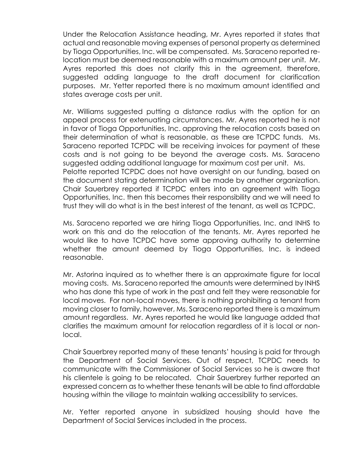Under the Relocation Assistance heading, Mr. Ayres reported it states that actual and reasonable moving expenses of personal property as determined by Tioga Opportunities, Inc. will be compensated. Ms. Saraceno reported relocation must be deemed reasonable with a maximum amount per unit. Mr. Ayres reported this does not clarify this in the agreement, therefore, suggested adding language to the draft document for clarification purposes. Mr. Yetter reported there is no maximum amount identified and states average costs per unit.

Mr. Williams suggested putting a distance radius with the option for an appeal process for extenuating circumstances. Mr. Ayres reported he is not in favor of Tioga Opportunities, Inc. approving the relocation costs based on their determination of what is reasonable, as these are TCPDC funds. Ms. Saraceno reported TCPDC will be receiving invoices for payment of these costs and is not going to be beyond the average costs. Ms. Saraceno suggested adding additional language for maximum cost per unit. Ms. Pelotte reported TCPDC does not have oversight on our funding, based on the document stating determination will be made by another organization. Chair Sauerbrey reported if TCPDC enters into an agreement with Tioga Opportunities, Inc. then this becomes their responsibility and we will need to trust they will do what is in the best interest of the tenant, as well as TCPDC.

Ms. Saraceno reported we are hiring Tioga Opportunities, Inc. and INHS to work on this and do the relocation of the tenants. Mr. Ayres reported he would like to have TCPDC have some approving authority to determine whether the amount deemed by Tioga Opportunities, Inc. is indeed reasonable.

Mr. Astorina inquired as to whether there is an approximate figure for local moving costs. Ms. Saraceno reported the amounts were determined by INHS who has done this type of work in the past and felt they were reasonable for local moves. For non-local moves, there is nothing prohibiting a tenant from moving closer to family, however, Ms. Saraceno reported there is a maximum amount regardless. Mr. Ayres reported he would like language added that clarifies the maximum amount for relocation regardless of it is local or nonlocal.

Chair Sauerbrey reported many of these tenants' housing is paid for through the Department of Social Services. Out of respect, TCPDC needs to communicate with the Commissioner of Social Services so he is aware that his clientele is going to be relocated. Chair Sauerbrey further reported an expressed concern as to whether these tenants will be able to find affordable housing within the village to maintain walking accessibility to services.

Mr. Yetter reported anyone in subsidized housing should have the Department of Social Services included in the process.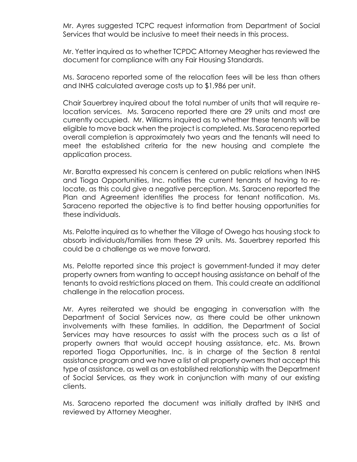Mr. Ayres suggested TCPC request information from Department of Social Services that would be inclusive to meet their needs in this process.

Mr. Yetter inquired as to whether TCPDC Attorney Meagher has reviewed the document for compliance with any Fair Housing Standards.

Ms. Saraceno reported some of the relocation fees will be less than others and INHS calculated average costs up to \$1,986 per unit.

Chair Sauerbrey inquired about the total number of units that will require relocation services. Ms. Saraceno reported there are 29 units and most are currently occupied. Mr. Williams inquired as to whether these tenants will be eligible to move back when the project is completed. Ms. Saraceno reported overall completion is approximately two years and the tenants will need to meet the established criteria for the new housing and complete the application process.

Mr. Baratta expressed his concern is centered on public relations when INHS and Tioga Opportunities, Inc. notifies the current tenants of having to relocate, as this could give a negative perception. Ms. Saraceno reported the Plan and Agreement identifies the process for tenant notification. Ms. Saraceno reported the objective is to find better housing opportunities for these individuals.

Ms. Pelotte inquired as to whether the Village of Owego has housing stock to absorb individuals/families from these 29 units. Ms. Sauerbrey reported this could be a challenge as we move forward.

Ms. Pelotte reported since this project is government-funded it may deter property owners from wanting to accept housing assistance on behalf of the tenants to avoid restrictions placed on them. This could create an additional challenge in the relocation process.

Mr. Ayres reiterated we should be engaging in conversation with the Department of Social Services now, as there could be other unknown involvements with these families. In addition, the Department of Social Services may have resources to assist with the process such as a list of property owners that would accept housing assistance, etc. Ms. Brown reported Tioga Opportunities, Inc. is in charge of the Section 8 rental assistance program and we have a list of all property owners that accept this type of assistance, as well as an established relationship with the Department of Social Services, as they work in conjunction with many of our existing clients.

Ms. Saraceno reported the document was initially drafted by INHS and reviewed by Attorney Meagher.